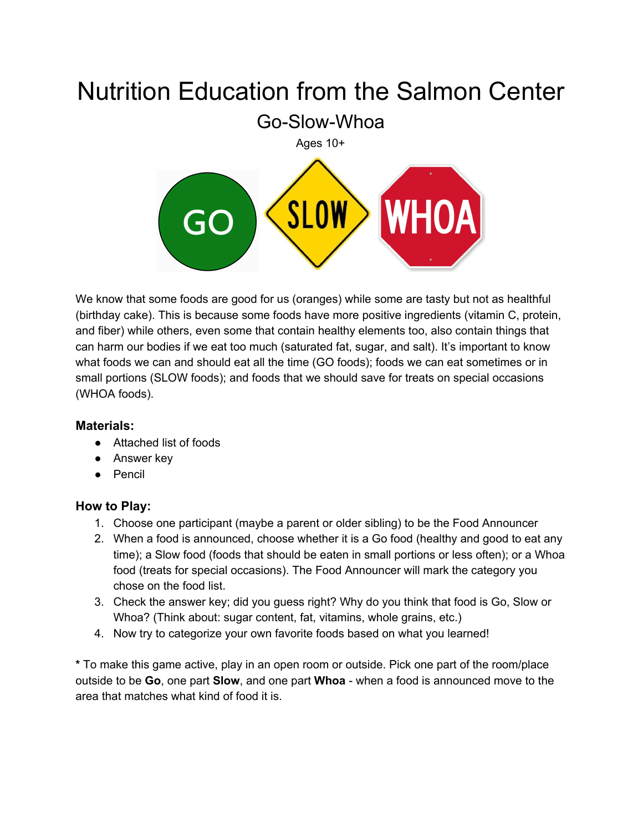# Nutrition Education from the Salmon Center

Go-Slow-Whoa



We know that some foods are good for us (oranges) while some are tasty but not as healthful (birthday cake). This is because some foods have more positive ingredients (vitamin C, protein, and fiber) while others, even some that contain healthy elements too, also contain things that can harm our bodies if we eat too much (saturated fat, sugar, and salt). It's important to know what foods we can and should eat all the time (GO foods); foods we can eat sometimes or in small portions (SLOW foods); and foods that we should save for treats on special occasions (WHOA foods).

#### **Materials:**

- Attached list of foods
- Answer key
- Pencil

#### **How to Play:**

- 1. Choose one participant (maybe a parent or older sibling) to be the Food Announcer
- 2. When a food is announced, choose whether it is a Go food (healthy and good to eat any time); a Slow food (foods that should be eaten in small portions or less often); or a Whoa food (treats for special occasions). The Food Announcer will mark the category you chose on the food list.
- 3. Check the answer key; did you guess right? Why do you think that food is Go, Slow or Whoa? (Think about: sugar content, fat, vitamins, whole grains, etc.)
- 4. Now try to categorize your own favorite foods based on what you learned!

**\*** To make this game active, play in an open room or outside. Pick one part of the room/place outside to be **Go**, one part **Slow**, and one part **Whoa** - when a food is announced move to the area that matches what kind of food it is.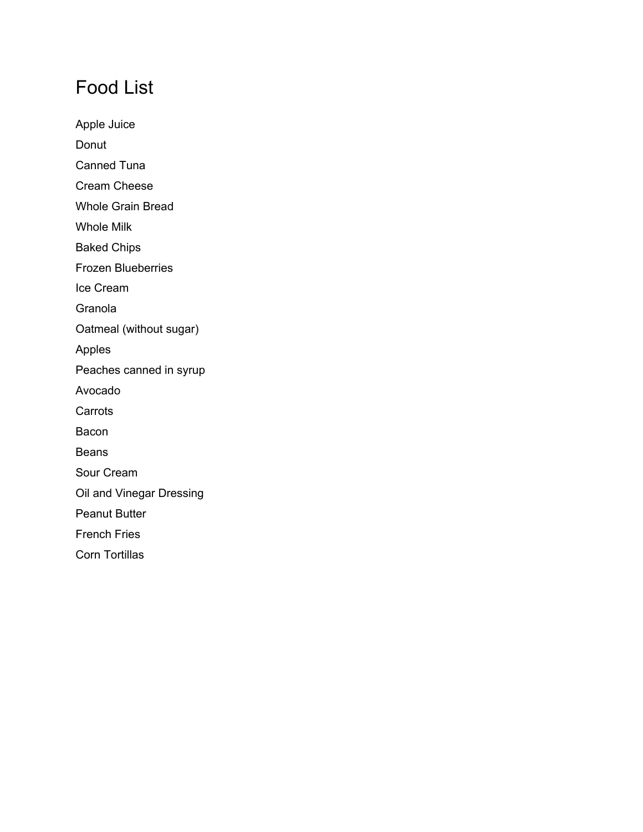## Food List

Apple Juice Donut Canned Tuna Cream Cheese Whole Grain Bread Whole Milk Baked Chips Frozen Blueberries Ice Cream Granola Oatmeal (without sugar) Apples Peaches canned in syrup Avocado **Carrots** Bacon Beans Sour Cream Oil and Vinegar Dressing Peanut Butter French Fries Corn Tortillas